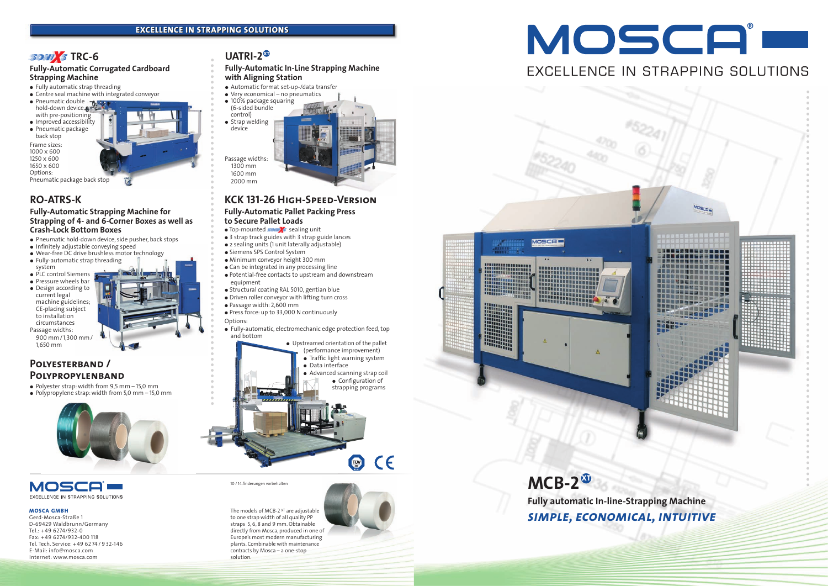# **SONI**S TRC-6



*simple, economical, intuitive*

#### **MOSCA GMBH**

Gerd-Mosca-Straße 1 D-69429 Waldbrunn/Germany Tel.: +49 6274/932-0 Fax: +49 6274/932-400 118 Tel. Tech. Service: + 49 62 74 / 9 32-146 E-Mail: info@mosca.com Internet: www.mosca.com

# **UATRI-2<sup>** $\circledast$ **</sup>**

The models of MCB-2<sup>XT</sup> are adjustable to one strap width of all quality PP straps 5, 6, 8 and 9 mm. Obtainable directly from Mosca, produced in one of Europe's most modern manufacturing plants. Combinable with maintenance contracts by Mosca – a one-stop solution.





10 / 14 Änderungen vorbehalten

- Top-mounted **som/s** sealing unit
- 3 strap track guides with 3 strap guide lances
- 2 sealing units (1 unit laterally adjustable)
- Siemens SPS Control System
- Minimum conveyor height 300 mm
- Can be integrated in any processing line
- Potential-free contacts to upstream and downstream equipment
- Structural coating RAL 5010, gentian blue
- Driven roller conveyor with lifting turn cross
- Passage width: 2,600 mm
- Press force: up to 33,000 N continuously
- Options:
- Fully-automatic, electromechanic edge protection feed, top and bottom

## **KCK 131-26 High-Speed-Version**

#### **Fully-Automatic Pallet Packing Press to Secure Pallet Loads**

- Fully automatic strap threading
- Centre seal machine with integrated conveyor
- Pneumatic double hold-down device with pre-positioning
- Improved accessibility
- Pneumatic package
- back stop



## **Polyesterband / Polypropylenband**

- $\bullet$  Polyester strap: width from 9,5 mm 15,0 mm
- $\bullet$  Polypropylene strap: width from 5,0 mm 15,0 mm



## MOSCA EXCELLENCE IN STRAPPING SOLUTIONS

#### **Fully-Automatic Corrugated Cardboard Strapping Machine**

Frame sizes: 1000 x 600 1250 x 600 1650 x 600

Options:



## **RO-ATRS-K**

#### **Fully-Automatic Strapping Machine for Strapping of 4- and 6-Corner Boxes as well as Crash-Lock Bottom Boxes**

- Pneumatic hold-down device, side pusher, back stops
- Infinitely adjustable conveying speed
- Wear-free DC drive brushless motor technology
- Fully-automatic strap threading system
- PLC control Siemens
- Pressure wheels bar
- Design according to current legal machine guidelines; CE-placing subject to installation circumstances Passage widths:
- 900 mm/1,300 mm/ 1,650 mm

**Fully-Automatic In-Line Strapping Machine with Aligning Station**

- Automatic format set-up-/data transfer
- $\bullet$  Very economical no pneumatics
- 100% package squaring (6-sided bundle control)  $\bullet$  Strap welding device

Passage widths: 1300 mm 1600 mm 2000 mm